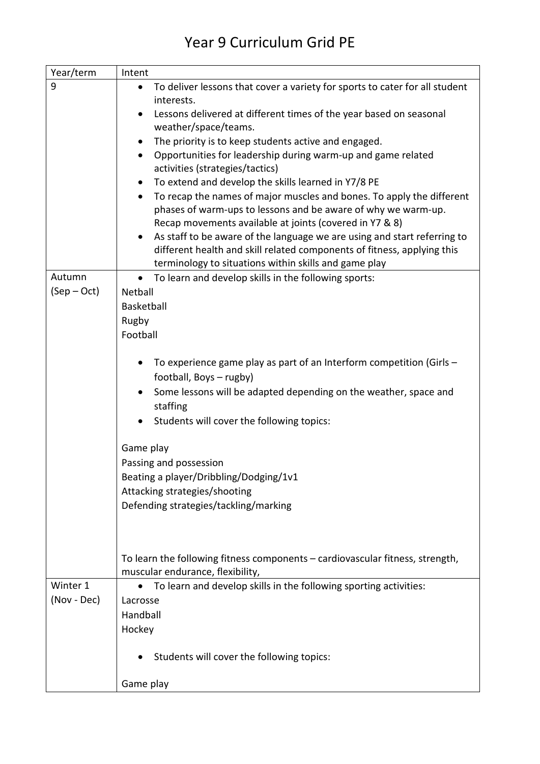## Year 9 Curriculum Grid PE

| Year/term   | Intent                                                                                                                                                                                                                                                                                                                                                                                                                                                                                                                                                                                                                                                                                                                                                                                                                                                                                                                    |
|-------------|---------------------------------------------------------------------------------------------------------------------------------------------------------------------------------------------------------------------------------------------------------------------------------------------------------------------------------------------------------------------------------------------------------------------------------------------------------------------------------------------------------------------------------------------------------------------------------------------------------------------------------------------------------------------------------------------------------------------------------------------------------------------------------------------------------------------------------------------------------------------------------------------------------------------------|
| 9           | To deliver lessons that cover a variety for sports to cater for all student<br>$\bullet$<br>interests.<br>Lessons delivered at different times of the year based on seasonal<br>$\bullet$<br>weather/space/teams.<br>The priority is to keep students active and engaged.<br>$\bullet$<br>Opportunities for leadership during warm-up and game related<br>$\bullet$<br>activities (strategies/tactics)<br>To extend and develop the skills learned in Y7/8 PE<br>$\bullet$<br>To recap the names of major muscles and bones. To apply the different<br>$\bullet$<br>phases of warm-ups to lessons and be aware of why we warm-up.<br>Recap movements available at joints (covered in Y7 & 8)<br>As staff to be aware of the language we are using and start referring to<br>$\bullet$<br>different health and skill related components of fitness, applying this<br>terminology to situations within skills and game play |
| Autumn      | To learn and develop skills in the following sports:<br>$\bullet$                                                                                                                                                                                                                                                                                                                                                                                                                                                                                                                                                                                                                                                                                                                                                                                                                                                         |
| $(Sep-Oct)$ | Netball<br>Basketball<br>Rugby<br>Football<br>To experience game play as part of an Interform competition (Girls -<br>football, Boys - rugby)<br>Some lessons will be adapted depending on the weather, space and<br>$\bullet$<br>staffing<br>Students will cover the following topics:<br>Game play<br>Passing and possession<br>Beating a player/Dribbling/Dodging/1v1<br>Attacking strategies/shooting<br>Defending strategies/tackling/marking                                                                                                                                                                                                                                                                                                                                                                                                                                                                        |
|             | To learn the following fitness components - cardiovascular fitness, strength,<br>muscular endurance, flexibility,                                                                                                                                                                                                                                                                                                                                                                                                                                                                                                                                                                                                                                                                                                                                                                                                         |
| Winter 1    | To learn and develop skills in the following sporting activities:                                                                                                                                                                                                                                                                                                                                                                                                                                                                                                                                                                                                                                                                                                                                                                                                                                                         |
| (Nov - Dec) | Lacrosse<br>Handball<br>Hockey                                                                                                                                                                                                                                                                                                                                                                                                                                                                                                                                                                                                                                                                                                                                                                                                                                                                                            |
|             | Students will cover the following topics:                                                                                                                                                                                                                                                                                                                                                                                                                                                                                                                                                                                                                                                                                                                                                                                                                                                                                 |
|             | Game play                                                                                                                                                                                                                                                                                                                                                                                                                                                                                                                                                                                                                                                                                                                                                                                                                                                                                                                 |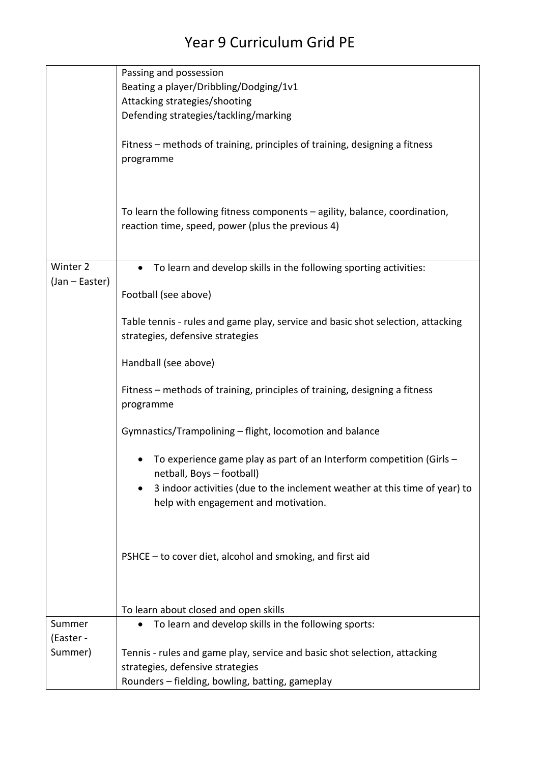## Year 9 Curriculum Grid PE

|                | Passing and possession                                                                                                           |
|----------------|----------------------------------------------------------------------------------------------------------------------------------|
|                | Beating a player/Dribbling/Dodging/1v1                                                                                           |
|                | Attacking strategies/shooting                                                                                                    |
|                | Defending strategies/tackling/marking                                                                                            |
|                |                                                                                                                                  |
|                | Fitness – methods of training, principles of training, designing a fitness<br>programme                                          |
|                | To learn the following fitness components - agility, balance, coordination,<br>reaction time, speed, power (plus the previous 4) |
| Winter 2       | To learn and develop skills in the following sporting activities:                                                                |
| (Jan - Easter) | Football (see above)                                                                                                             |
|                | Table tennis - rules and game play, service and basic shot selection, attacking<br>strategies, defensive strategies              |
|                | Handball (see above)                                                                                                             |
|                | Fitness – methods of training, principles of training, designing a fitness<br>programme                                          |
|                | Gymnastics/Trampolining - flight, locomotion and balance                                                                         |
|                | To experience game play as part of an Interform competition (Girls -<br>netball, Boys - football)                                |
|                | 3 indoor activities (due to the inclement weather at this time of year) to<br>help with engagement and motivation.               |
|                | PSHCE - to cover diet, alcohol and smoking, and first aid                                                                        |
|                | To learn about closed and open skills                                                                                            |
| Summer         | To learn and develop skills in the following sports:<br>$\bullet$                                                                |
| (Easter -      |                                                                                                                                  |
| Summer)        | Tennis - rules and game play, service and basic shot selection, attacking                                                        |
|                | strategies, defensive strategies                                                                                                 |
|                | Rounders - fielding, bowling, batting, gameplay                                                                                  |